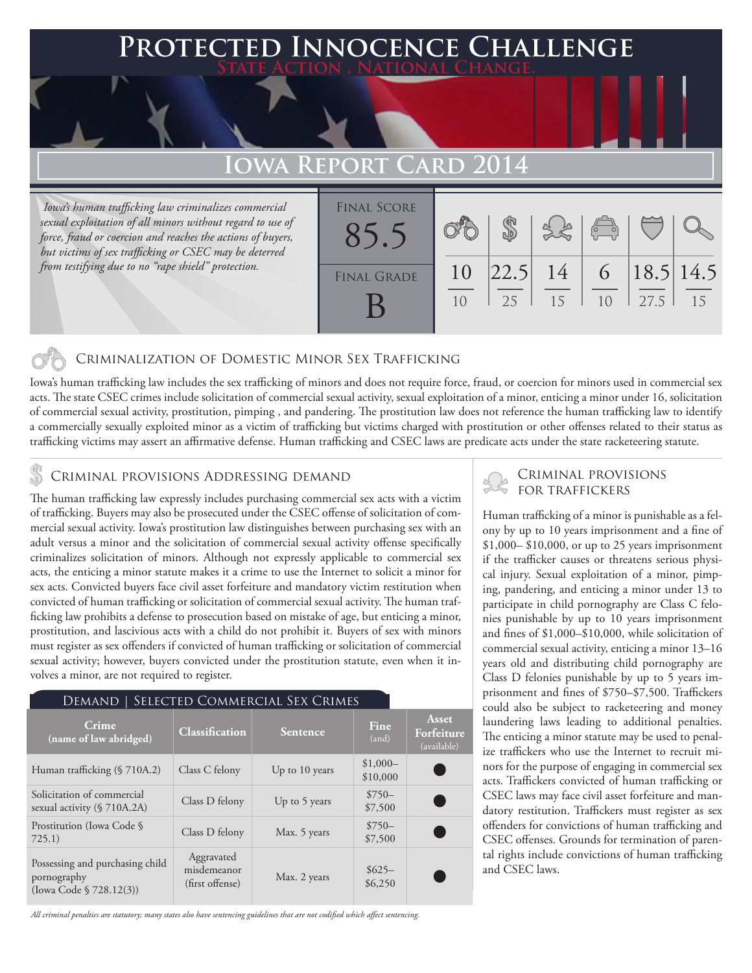## **FECTED INNOCENCE CHALLENGE State Action . National Change.**

# **Iowa Report Card 2014**

 *Iowa's human trafficking law criminalizes commercial sexual exploitation of all minors without regard to use of force, fraud or coercion and reaches the actions of buyers, but victims of sex trafficking or CSEC may be deterred from testifying due to no "rape shield" protection.*



#### Criminalization of Domestic Minor Sex Trafficking

Iowa's human trafficking law includes the sex trafficking of minors and does not require force, fraud, or coercion for minors used in commercial sex acts. The state CSEC crimes include solicitation of commercial sexual activity, sexual exploitation of a minor, enticing a minor under 16, solicitation of commercial sexual activity, prostitution, pimping , and pandering. The prostitution law does not reference the human trafficking law to identify a commercially sexually exploited minor as a victim of trafficking but victims charged with prostitution or other offenses related to their status as trafficking victims may assert an affirmative defense. Human trafficking and CSEC laws are predicate acts under the state racketeering statute.

### **S** CRIMINAL PROVISIONS ADDRESSING DEMAND

The human trafficking law expressly includes purchasing commercial sex acts with a victim of trafficking. Buyers may also be prosecuted under the CSEC offense of solicitation of commercial sexual activity. Iowa's prostitution law distinguishes between purchasing sex with an adult versus a minor and the solicitation of commercial sexual activity offense specifically criminalizes solicitation of minors. Although not expressly applicable to commercial sex acts, the enticing a minor statute makes it a crime to use the Internet to solicit a minor for sex acts. Convicted buyers face civil asset forfeiture and mandatory victim restitution when convicted of human trafficking or solicitation of commercial sexual activity. The human trafficking law prohibits a defense to prosecution based on mistake of age, but enticing a minor, prostitution, and lascivious acts with a child do not prohibit it. Buyers of sex with minors must register as sex offenders if convicted of human trafficking or solicitation of commercial sexual activity; however, buyers convicted under the prostitution statute, even when it involves a minor, are not required to register.

| SELECTED COMMERCIAL SEX CRIMES<br>Demand 1                                   |                                              |                |                       |                                    |
|------------------------------------------------------------------------------|----------------------------------------------|----------------|-----------------------|------------------------------------|
| Crime<br>(name of law abridged)                                              | <b>Classification</b>                        | Sentence       | Fine<br>(and)         | Asset<br>Forfeiture<br>(available) |
| Human trafficking (§ 710A.2)                                                 | Class C felony                               | Up to 10 years | $$1,000-$<br>\$10,000 |                                    |
| Solicitation of commercial<br>sexual activity $(S 710A.2A)$                  | Class D felony                               | Up to 5 years  | $$750-$<br>\$7,500    |                                    |
| Prostitution (Iowa Code §<br>725.1)                                          | Class D felony                               | Max. 5 years   | $$750-$<br>\$7,500    |                                    |
| Possessing and purchasing child<br>pornography<br>(Iowa Code $\S$ 728.12(3)) | Aggravated<br>misdemeanor<br>(first offense) | Max. 2 years   | $$625-$<br>\$6,250    |                                    |

*All criminal penalties are statutory; many states also have sentencing guidelines that are not codified which affect sentencing.* 

### Criminal provisions for traffickers

Human trafficking of a minor is punishable as a felony by up to 10 years imprisonment and a fine of \$1,000– \$10,000, or up to 25 years imprisonment if the trafficker causes or threatens serious physical injury. Sexual exploitation of a minor, pimping, pandering, and enticing a minor under 13 to participate in child pornography are Class C felonies punishable by up to 10 years imprisonment and fines of \$1,000–\$10,000, while solicitation of commercial sexual activity, enticing a minor 13–16 years old and distributing child pornography are Class D felonies punishable by up to 5 years imprisonment and fines of \$750–\$7,500. Traffickers could also be subject to racketeering and money laundering laws leading to additional penalties. The enticing a minor statute may be used to penalize traffickers who use the Internet to recruit minors for the purpose of engaging in commercial sex acts. Traffickers convicted of human trafficking or CSEC laws may face civil asset forfeiture and mandatory restitution. Traffickers must register as sex offenders for convictions of human trafficking and CSEC offenses. Grounds for termination of parental rights include convictions of human trafficking and CSEC laws.